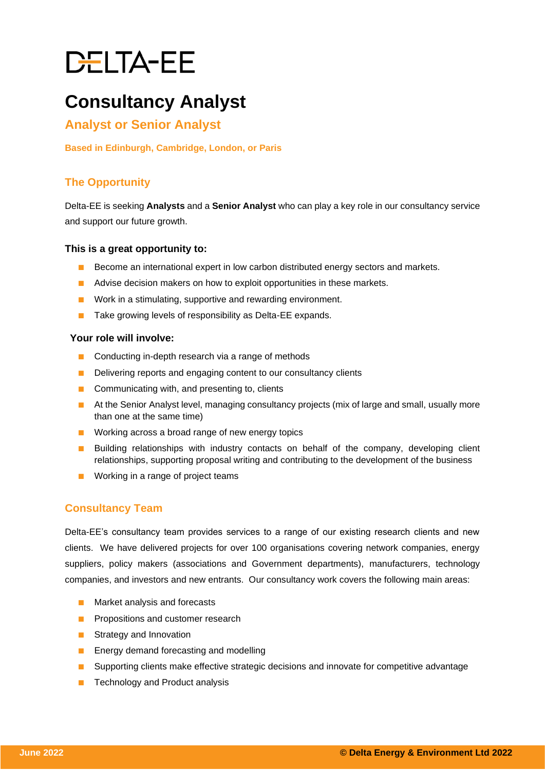# DELTA-EE

# **Consultancy Analyst**

# **Analyst or Senior Analyst**

#### **Based in Edinburgh, Cambridge, London, or Paris**

## **The Opportunity**

Delta-EE is seeking **Analysts** and a **Senior Analyst** who can play a key role in our consultancy service and support our future growth.

#### **This is a great opportunity to:**

- Become an international expert in low carbon distributed energy sectors and markets.
- Advise decision makers on how to exploit opportunities in these markets.
- Work in a stimulating, supportive and rewarding environment.
- Take growing levels of responsibility as Delta-EE expands.

#### **Your role will involve:**

- Conducting in-depth research via a range of methods
- Delivering reports and engaging content to our consultancy clients
- Communicating with, and presenting to, clients
- At the Senior Analyst level, managing consultancy projects (mix of large and small, usually more than one at the same time)
- Working across a broad range of new energy topics
- Building relationships with industry contacts on behalf of the company, developing client relationships, supporting proposal writing and contributing to the development of the business
- Working in a range of project teams

## **Consultancy Team**

Delta-EE's consultancy team provides services to a range of our existing research clients and new clients. We have delivered projects for over 100 organisations covering network companies, energy suppliers, policy makers (associations and Government departments), manufacturers, technology companies, and investors and new entrants. Our consultancy work covers the following main areas:

- Market analysis and forecasts
- Propositions and customer research
- Strategy and Innovation
- Energy demand forecasting and modelling
- Supporting clients make effective strategic decisions and innovate for competitive advantage
- Technology and Product analysis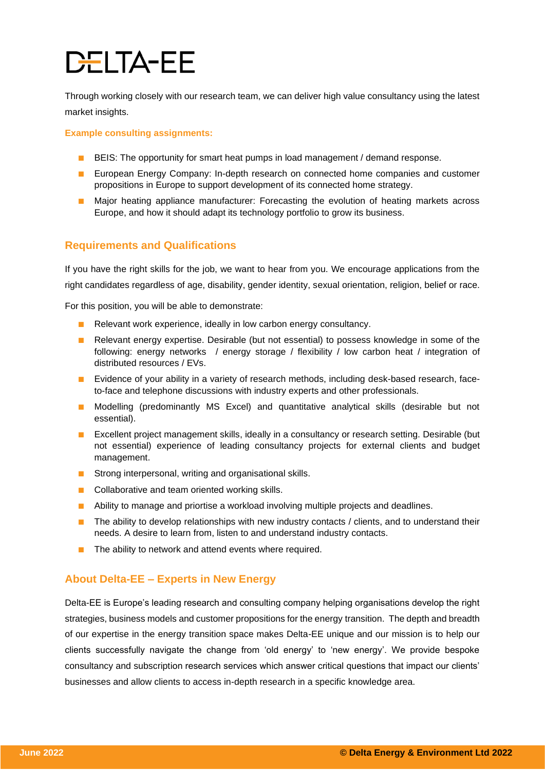# DELTA-EE

Through working closely with our research team, we can deliver high value consultancy using the latest market insights.

**Example consulting assignments:**

- BEIS: The opportunity for smart heat pumps in load management / demand response.
- European Energy Company: In-depth research on connected home companies and customer propositions in Europe to support development of its connected home strategy.
- Major heating appliance manufacturer: Forecasting the evolution of heating markets across Europe, and how it should adapt its technology portfolio to grow its business.

### **Requirements and Qualifications**

If you have the right skills for the job, we want to hear from you. We encourage applications from the right candidates regardless of age, disability, gender identity, sexual orientation, religion, belief or race.

For this position, you will be able to demonstrate:

- Relevant work experience, ideally in low carbon energy consultancy.
- Relevant energy expertise. Desirable (but not essential) to possess knowledge in some of the following: energy networks / energy storage / flexibility / low carbon heat / integration of distributed resources / EVs.
- Evidence of your ability in a variety of research methods, including desk-based research, faceto-face and telephone discussions with industry experts and other professionals.
- Modelling (predominantly MS Excel) and quantitative analytical skills (desirable but not essential).
- Excellent project management skills, ideally in a consultancy or research setting. Desirable (but not essential) experience of leading consultancy projects for external clients and budget management.
- Strong interpersonal, writing and organisational skills.
- Collaborative and team oriented working skills.
- Ability to manage and priortise a workload involving multiple projects and deadlines.
- The ability to develop relationships with new industry contacts / clients, and to understand their needs. A desire to learn from, listen to and understand industry contacts.
- The ability to network and attend events where required.

### **About Delta-EE – Experts in New Energy**

Delta-EE is Europe's leading research and consulting company helping organisations develop the right strategies, business models and customer propositions for the energy transition. The depth and breadth of our expertise in the energy transition space makes Delta-EE unique and our mission is to help our clients successfully navigate the change from 'old energy' to 'new energy'. We provide bespoke consultancy and subscription research services which answer critical questions that impact our clients' businesses and allow clients to access in-depth research in a specific knowledge area.